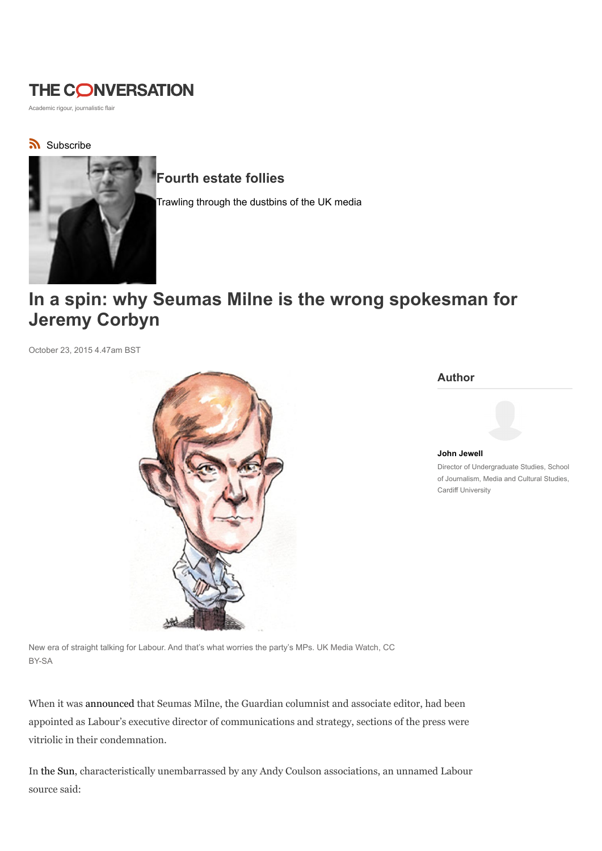# **THE CONVERSATION**

Academic rigour, journalistic flair

# Subscribe



# Fourth estate follies

Trawling through the dustbins of the UK media

# In a spin: why Seumas Milne is the wrong spokesman for Jeremy Corbyn

October 23, 2015 4.47am BST



#### Author

John Jewell Director of Undergraduate Studies, School of Journalism, Media and Cultural Studies, Cardiff University

New era of straight talking for Labour. And that's what worries the party's MPs. UK Media Watch, CC BY-SA

When it was announced that Seumas Milne, the Guardian columnist and associate editor, had been appointed as Labour's executive director of communications and strategy, sections of the press were vitriolic in their condemnation.

In the Sun, characteristically unembarrassed by any Andy Coulson associations, an unnamed Labour source said: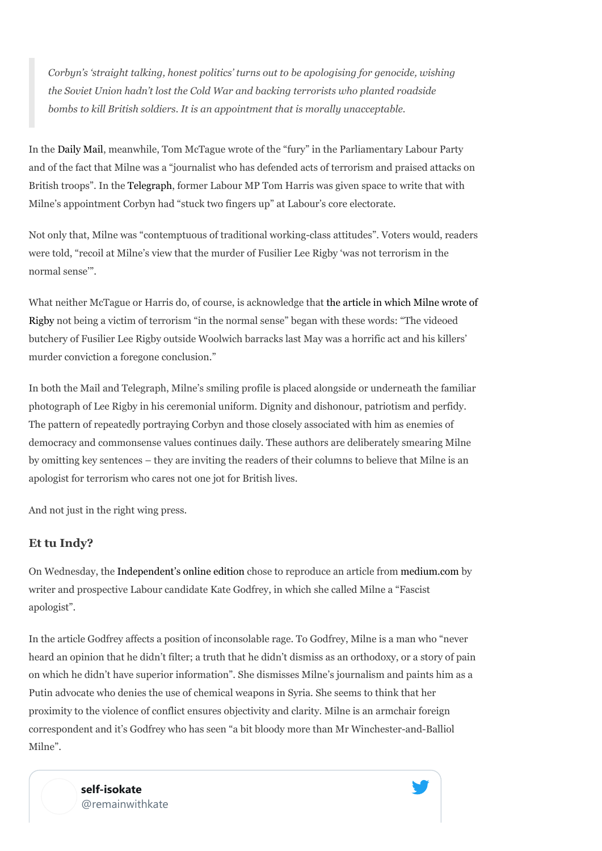Corbyn's 'straight talking, honest politics' turns out to be apologising for genocide, wishing the Soviet Union hadn't lost the Cold War and backing terrorists who planted roadside bombs to kill British soldiers. It is an appointment that is morally unacceptable.

In the Daily Mail, meanwhile, Tom McTague wrote of the "fury" in the Parliamentary Labour Party and of the fact that Milne was a "journalist who has defended acts of terrorism and praised attacks on British troops". In the Telegraph, former Labour MP Tom Harris was given space to write that with Milne's appointment Corbyn had "stuck two fingers up" at Labour's core electorate.

Not only that, Milne was "contemptuous of traditional working-class attitudes". Voters would, readers were told, "recoil at Milne's view that the murder of Fusilier Lee Rigby 'was not terrorism in the normal sense'".

What neither McTague or Harris do, of course, is acknowledge that the article in which Milne wrote of Rigby not being a victim of terrorism "in the normal sense" began with these words: "The videoed butchery of Fusilier Lee Rigby outside Woolwich barracks last May was a horrific act and his killers' murder conviction a foregone conclusion."

In both the Mail and Telegraph, Milne's smiling profile is placed alongside or underneath the familiar photograph of Lee Rigby in his ceremonial uniform. Dignity and dishonour, patriotism and perfidy. The pattern of repeatedly portraying Corbyn and those closely associated with him as enemies of democracy and commonsense values continues daily. These authors are deliberately smearing Milne by omitting key sentences – they are inviting the readers of their columns to believe that Milne is an apologist for terrorism who cares not one jot for British lives.

And not just in the right wing press.

### Et tu Indy?

On Wednesday, the Independent's online edition chose to reproduce an article from medium.com by writer and prospective Labour candidate Kate Godfrey, in which she called Milne a "Fascist apologist".

In the article Godfrey affects a position of inconsolable rage. To Godfrey, Milne is a man who "never heard an opinion that he didn't filter; a truth that he didn't dismiss as an orthodoxy, or a story of pain on which he didn't have superior information". She dismisses Milne's journalism and paints him as a Putin advocate who denies the use of chemical weapons in Syria. She seems to think that her proximity to the violence of conflict ensures objectivity and clarity. Milne is an armchair foreign correspondent and it's Godfrey who has seen "a bit bloody more than Mr Winchester-and-Balliol Milne".

> self-isokate @remainwithkate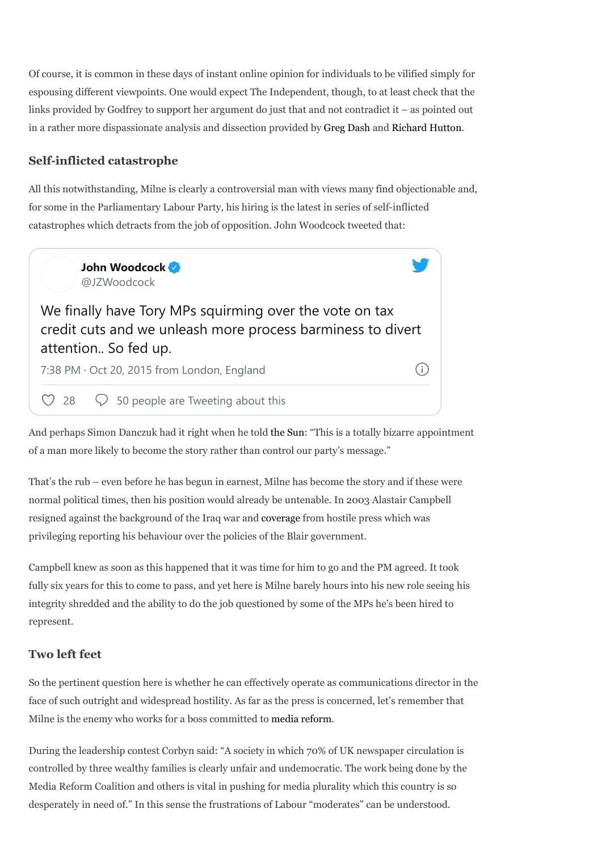Of course, it is common in these days of instant online opinion for individuals to be vilified simply for espousing different viewpoints. One would expect The Independent, though, to at least check that the links provided by Godfrey to support her argument do just that and not contradict it – as pointed out in a rather more dispassionate analysis and dissection provided by Greg Dash and Richard Hutton.

## Self-inflicted catastrophe

All this notwithstanding, Milne is clearly a controversial man with views many find objectionable and, for some in the Parliamentary Labour Party, his hiring is the latest in series of self-inflicted catastrophes which detracts from the job of opposition. John Woodcock tweeted that:



And perhaps Simon Danczuk had it right when he told the Sun: "This is a totally bizarre appointment of a man more likely to become the story rather than control our party's message."

That's the rub – even before he has begun in earnest, Milne has become the story and if these were normal political times, then his position would already be untenable. In 2003 Alastair Campbell resigned against the background of the Iraq war and coverage from hostile press which was privileging reporting his behaviour over the policies of the Blair government.

Campbell knew as soon as this happened that it was time for him to go and the PM agreed. It took fully six years for this to come to pass, and yet here is Milne barely hours into his new role seeing his integrity shredded and the ability to do the job questioned by some of the MPs he's been hired to represent.

## Two left feet

So the pertinent question here is whether he can effectively operate as communications director in the face of such outright and widespread hostility. As far as the press is concerned, let's remember that Milne is the enemy who works for a boss committed to media reform.

During the leadership contest Corbyn said: "A society in which 70% of UK newspaper circulation is controlled by three wealthy families is clearly unfair and undemocratic. The work being done by the Media Reform Coalition and others is vital in pushing for media plurality which this country is so desperately in need of." In this sense the frustrations of Labour "moderates" can be understood.